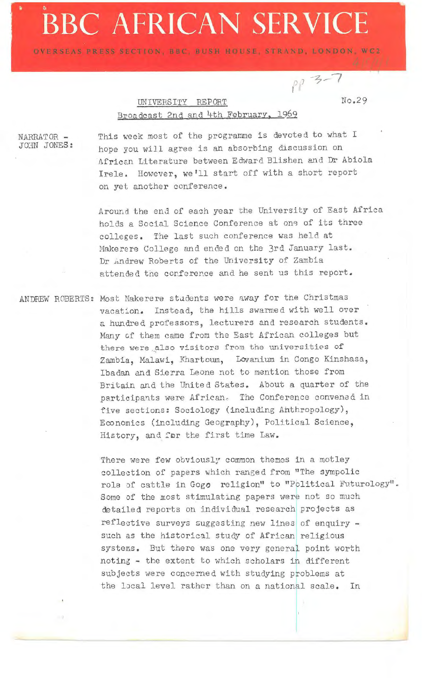## • **a, BBC AFRICAN SERVICE**

OVERSEAS PRESS SECTION, BUC, BUSH HOUSE, STRAND, LONDON, WC2

*?·)* -~-7

## UNIVERSITY REPORT No.29 Broadcast 2nd and 4th February, 1969

NARRATOR - JOHN JONES: This week most of the programme is devoted to what I hope you wiJl agree is an absorbing discussion on African Literature between Edward Blishen and Dr Abiola Irele. However, we'll start off with a short report on yet another conference.

Around the end of each year the University of East Africa holds a Social Science Conference at one of its three colleges. The last such conference was held at Makerere College and ended on the 3rd January last. Dr Andrew Roberts of the University of Zambia attended the conference and he sent us this report.

ANDREW ROBERTS: Most Makerere students were away for the Christmas vacation. Instead, the hills swarmed with well over a hundred professors, lecturers and research students. Many cf them came from the Sast African colleges but there were also visitors from the universities of Zambia, Malawi, Khartoum., Lovanium in Congo Kinshasa, Ibadan and Sierra Leone not to mention those from Britain and the United States. About a quarter of the participants were African. The Conference convened in five sections: Sociology (including Ahthropology), Economics (including Geography), Political Science, History, and for the first time Law.

> There were few obviously common themes in a motley collection of papers which ranged from. "The sympolic rola of cattle in Gogo religion" to "Political Futurology". Some of the most stimulating papers were not so much detailed reports on individual research projects as reflective surveys suggesting new lines of enquiry such as the historical study of African religious systems. But there was one very generai point worth noting - the extent to which scholars in different subjects were concerned with studying problems at the local level rather than on a national scale. In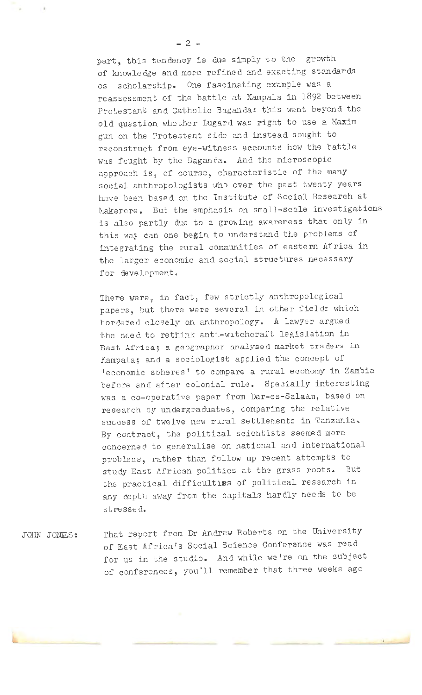part, this tendency is due simply to the growth of knowledge and more refined and exacting standards os scholarship. One fascinating example was a reassessment of the battle at Kampala in 1892 between Protestant and Catholic Baganda: this went beyond the old question whether Lugard was right to use a Maxim gun on the Protestent side and instead sought to reconstruct from eye-witness accounts how the battle was fought by the Baganda. And the microscopic approach is, of course, characteristic of the many social anthropologists who over the past twenty years have bee~ based on the Institute of Social Research at Makerere. But the emphasis on small-scale investigations is also partly due to a growing awareness that only in this way can one begin to understand the problems of integrating the rural communities of eastern Africa in the larger economic and social structures necessary for development.

There were, in fact, few strictly anthropological papers, but there were several in other fields which bordered closely on anthropology. A lawyer argued the need to rethink anti-witchcraft legislation in East Africa; a geographer analysed market traders in Kampala; and a sociologist applied the concept of 'economic spheres ' to compare a rural economy in Zambia before and after colonial rule. Specially interesting was a co-operative paper from Dar-es-Salaam, based on research by undergraduates, comparing the relative success of twelve new rural settlements in Tanzania. By contract, the political scientists seemed more concerned to generalise on national and international problems, rather- than follow up recent attempts to study East African politics at the grass roots. But the practical difficulties of political research in any depth away from the capitals hardly needs to be stressed.

JOHN JONJES: That report from Dr Andrew Roberts on the University of East Africa's Social Science Conference was read for us in the studio. And while we're on the subject of conferences, you'll remember that three weeks ago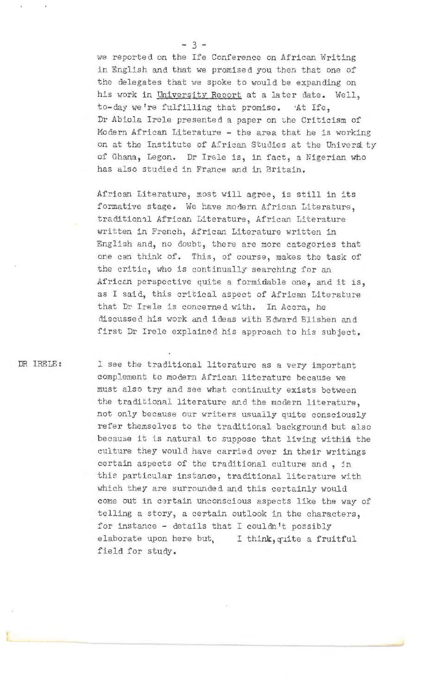we reported on the Ife Conference on African Writing in English and that we promised you then that one of the delegates that we spoke to would be expanding on his work in University Report at a later date. Well, to-day we're fulfilling that promise. At Ife, Dr Abiola Irele presented a paper on the Criticism of Modern African Literature - the area that he is working on at the Institute of African Studies at the University of Ghana, Legan. Dr Ircle is, in fact, a Nigerian who has also studied in France and in Britain.

African Literature, most will agree, is still in its formative stage. We have modern African Literature, traditional African Literature, African Literature written in French, African Literature written in English and, no doubt, there are more categories that one can think of. This, of course, makes the task of the critic, who is continually searching for an African perspective quite a formidable one, and it is, as I said, this critical aspect of African Literature that Dr Irele is concerned with. In Accra, he discussed his work and ideas with Edward Blishen and first Dr Irele explained his approach to his subject.

DR IRE LE:

I see the traditional literature as a very important complement *to* modern African literature because we must also try and see what continuity exists between the traditional literature and the modern literature, not only because our writers usually quite consciously refer themselves to the traditional background but also because it is natural to suppose that living within the culture they would have carried over in their writings certain aspects of the traditional culture and, jn this particular instanoe, traditional literature with which they are surrounded and this certainly would come out in certain unconscious aspects like the way of telling a story, a certain outlook in the characters, for instance - details that I couldn't possibly elaborate upon here but, I think, quite a fruitful field for study.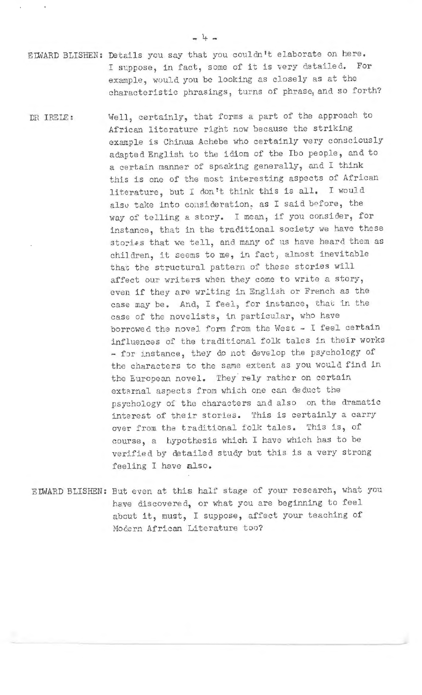EIWARD BLISHEN: Details you say that you couldn't elaborate on here. I suppose, in fact, some of it is very detailed. For example, would you be looking as closely as at the characteristic phrasings, turns of phrase, and so forth?

DR IRELE: Well, certainly, that forms a part of the approach to African literature right now because the striking example is Chinua Achebe who certainly very consciously adapted English to the idiom of the Ibo people, and to a certain manner of spsaking generally, and I think this is one of the most interesting aspects of African literature, but I don't think this is all. I would also take into consideration, as I said before, the way of telling a story. I mean, if you consider, for instance, that in the traditional society we have these stories that we tell, and many of us have heard them as children, it seems to me, in fact, almost inevitable that tbe structural pattern of these stories will affect our writers when they come to write a story, even if they are writing in English or French as the case may be. And, I feel, for instance, that in the case of the novelists, in particular, who have borrowed the novel form from the West - I feel certain influences of the traditional folk tales in their works - for instance, they do not develop the psychology of the characters to the same extent as you would find in the European novel. They rely rather on certain external aspects from which one can deduct the psychology of the characters and also on the dramatic interest of their stories. This is certainly a carry over from the traditional folk tales. This is, of course, a hypothesis which I have which has to be verified by detailed study but this is a very strong feeling I have also.

EUNARD BLISHEN: But even at this half stage of your research, what you have discovered, or what you are beginning to feel about it, must, I suppose, affect your teaching of Modern African Literature too?

- 4 -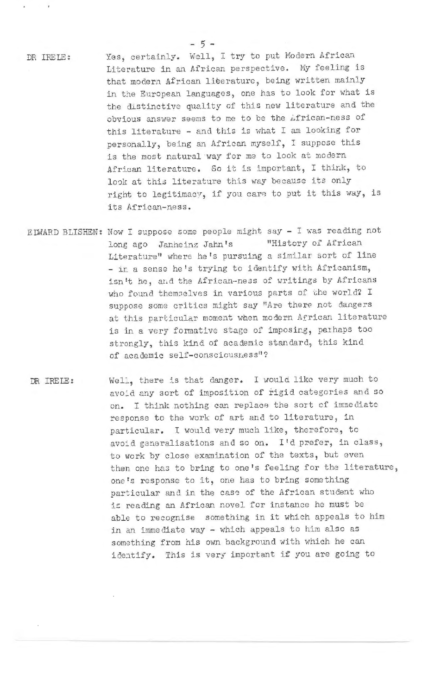DR IRE IE:

Yes, certainly. Well, I try to put Modern African Literature in an African perspective. My feeling is that modern African literature, being written mainly in the European languages, one has to look for what is the distinctive quality of this new literature and the obvious answer seems to me to be the African-ness of this literature - and this is what I am looking for personally, being an African myself, I suppose this is the most natural way for me to look at modern African literature. So it is important, I think, to look at this literature this way because its only right to legitimacy, if you care to put it this way, is its African-ness.

- ELWARD BLISHEN: Now I suppose some people might say I was reading not long ago Janheinz Jahn's "History of African Literature" where he's pursuing a similar sort of line - in a sense he's trying to identify with Africanism, isn't he, and the African-ness of writings by Africans who found themselves in various parts of the world? I suppose some critics might say "Are there not dangers at this particular moment when modern African literature is in a very formative stage of imposing, parhaps too strongly, this kind of academic standard, this kind of academic self-consciousness"?
- DR IREIB: Well, there is that danger. I would like very much to avoid any sort of imposition of rigid categories and so on. I think nothing can replace the sort of immediate response to the work of art and to literature, in particular. I would very much like, therefore, tc avoid generalisations and so on. I'd prefer, in class, to work by close examination of the texts, but even then one ha3 to bring to one's feeling for the literature, one's response to it, one has to bring something particular and in the case of the African student who is reading an African novel for instance he must be able to recognise something in it which appeals to him in an immediate way - which appeals to him also as something from his own background with which he can identify. This is very important if you are going to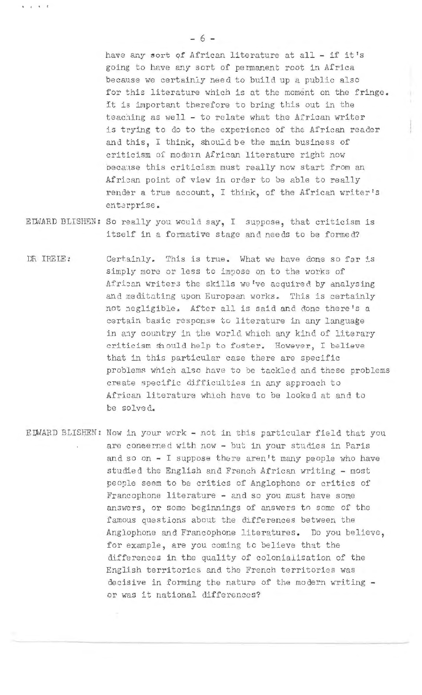have any sort of African literature at all - if it's going to have any sort of permanent root in Africa because we certainly need to build up a public also for this literature which is at the moment on the fringe. It is important therefore to bring this out in the teaching as well - to relate what the Arrican writer is trying to do to the experience of the African reader and this, I think, should be the main business of criticism of modern African literature right now because this criticism must really now start from an African point of view in order to be able to really render a true account, I think, of the African writer's enterprise.

- EDWARD BLISHEN: So really you would say, I suppose, that criticism is itself in a formative stage and needs to be formed?
- DR IREIE: Certainly. This is true. What we have done so far is simply more or less to impose on to the works of African writers the skills we've acquired by analysing and meditating upon European works. This is certainly not negligible. After all is said and done there's a certain basic response to literature in any language in any country in the world which any kind of literary criticism should help to foster. However, I believe that in this particular case there are specific problems which also have to be tackled and these problems create specific difficulties in any approach to African literature which have to be looked at and to be solved.
- EDWARD BLISHEN: Now in your work not in this particular field that you are coneerned with now - but in your studies in Paris and so on - I suppose there aren't many people who have studied the English and French African writing - most people seem to be critics of Anglophone or critics of Francophone literature - and so you must have some answers, or some beginnings of answers to some of the famous questions about the differences between the Anglophone and Francophone literatures. Do you believe, for example, are you coming to believe that the differences in the quality of colonialisation of the English territories and the French territories was decisive in forming the nature of the modern writing or was it national differences?

- 6 -

.